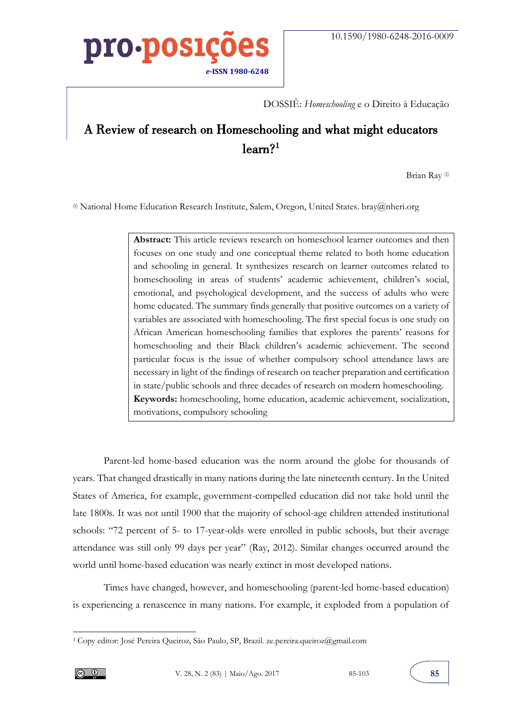

DOSSIÊ: *Homeschooling* e o Direito à Educação

#### A Review of research on Homeschooling and what might educators  ${\rm learn?}^1$

Brian Ray<sup>(i)</sup>

(i) National Home Education Research Institute, Salem, Oregon, United States. bray@nheri.org

**Abstract:** This article reviews research on homeschool learner outcomes and then focuses on one study and one conceptual theme related to both home education and schooling in general. It synthesizes research on learner outcomes related to homeschooling in areas of students' academic achievement, children's social, emotional, and psychological development, and the success of adults who were home educated. The summary finds generally that positive outcomes on a variety of variables are associated with homeschooling. The first special focus is one study on African American homeschooling families that explores the parents' reasons for homeschooling and their Black children's academic achievement. The second particular focus is the issue of whether compulsory school attendance laws are necessary in light of the findings of research on teacher preparation and certification in state/public schools and three decades of research on modern homeschooling. **Keywords:** homeschooling, home education, academic achievement, socialization, motivations, compulsory schooling

Parent-led home-based education was the norm around the globe for thousands of years. That changed drastically in many nations during the late nineteenth century. In the United States of America, for example, government-compelled education did not take hold until the late 1800s. It was not until 1900 that the majority of school-age children attended institutional schools: "72 percent of 5- to 17-year-olds were enrolled in public schools, but their average attendance was still only 99 days per year" (Ray, 2012). Similar changes occurred around the world until home-based education was nearly extinct in most developed nations.

Times have changed, however, and homeschooling (parent-led home-based education) is experiencing a renascence in many nations. For example, it exploded from a population of

 $\overline{a}$ 

<sup>1</sup> Copy editor: José Pereira Queiroz, São Paulo, SP, Brazil. ze.pereira.queiroz@gmail.com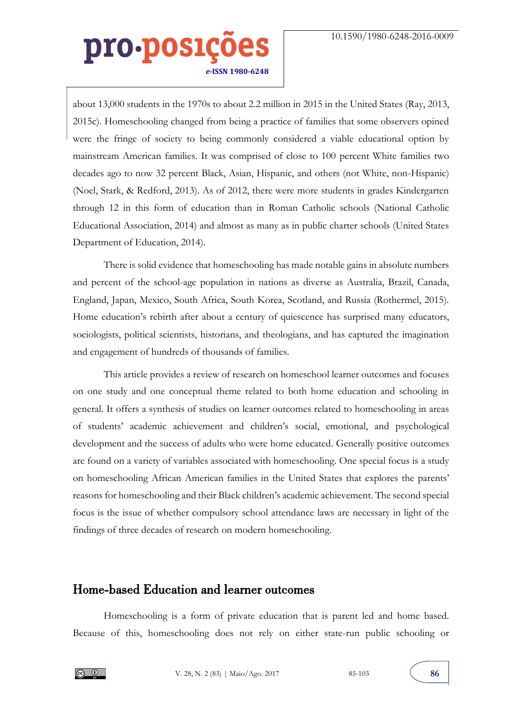about 13,000 students in the 1970s to about 2.2 million in 2015 in the United States (Ray, 2013, 2015c). Homeschooling changed from being a practice of families that some observers opined were the fringe of society to being commonly considered a viable educational option by mainstream American families. It was comprised of close to 100 percent White families two decades ago to now 32 percent Black, Asian, Hispanic, and others (not White, non-Hispanic) (Noel, Stark, & Redford, 2013). As of 2012, there were more students in grades Kindergarten through 12 in this form of education than in Roman Catholic schools (National Catholic Educational Association, 2014) and almost as many as in public charter schools (United States Department of Education, 2014).

There is solid evidence that homeschooling has made notable gains in absolute numbers and percent of the school-age population in nations as diverse as Australia, Brazil, Canada, England, Japan, Mexico, South Africa, South Korea, Scotland, and Russia (Rothermel, 2015). Home education's rebirth after about a century of quiescence has surprised many educators, sociologists, political scientists, historians, and theologians, and has captured the imagination and engagement of hundreds of thousands of families.

This article provides a review of research on homeschool learner outcomes and focuses on one study and one conceptual theme related to both home education and schooling in general. It offers a synthesis of studies on learner outcomes related to homeschooling in areas of students' academic achievement and children's social, emotional, and psychological development and the success of adults who were home educated. Generally positive outcomes are found on a variety of variables associated with homeschooling. One special focus is a study on homeschooling African American families in the United States that explores the parents' reasons for homeschooling and their Black children's academic achievement. The second special focus is the issue of whether compulsory school attendance laws are necessary in light of the findings of three decades of research on modern homeschooling.

#### Home-based Education and learner outcomes

Homeschooling is a form of private education that is parent led and home based. Because of this, homeschooling does not rely on either state-run public schooling or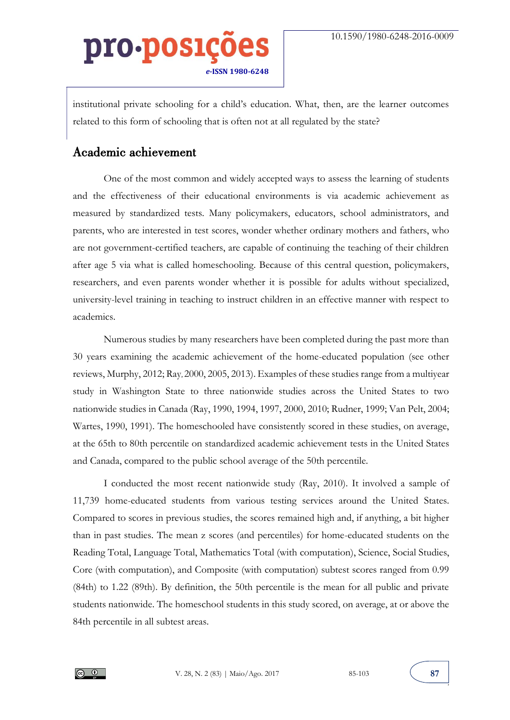institutional private schooling for a child's education. What, then, are the learner outcomes related to this form of schooling that is often not at all regulated by the state?

#### Academic achievement

One of the most common and widely accepted ways to assess the learning of students and the effectiveness of their educational environments is via academic achievement as measured by standardized tests. Many policymakers, educators, school administrators, and parents, who are interested in test scores, wonder whether ordinary mothers and fathers, who are not government-certified teachers, are capable of continuing the teaching of their children after age 5 via what is called homeschooling. Because of this central question, policymakers, researchers, and even parents wonder whether it is possible for adults without specialized, university-level training in teaching to instruct children in an effective manner with respect to academics.

Numerous studies by many researchers have been completed during the past more than 30 years examining the academic achievement of the home-educated population (see other reviews, Murphy, 2012; Ray, 2000, 2005, 2013). Examples of these studies range from a multiyear study in Washington State to three nationwide studies across the United States to two nationwide studies in Canada (Ray, 1990, 1994, 1997, 2000, 2010; Rudner, 1999; Van Pelt, 2004; Wartes, 1990, 1991). The homeschooled have consistently scored in these studies, on average, at the 65th to 80th percentile on standardized academic achievement tests in the United States and Canada, compared to the public school average of the 50th percentile.

I conducted the most recent nationwide study (Ray, 2010). It involved a sample of 11,739 home-educated students from various testing services around the United States. Compared to scores in previous studies, the scores remained high and, if anything, a bit higher than in past studies. The mean z scores (and percentiles) for home-educated students on the Reading Total, Language Total, Mathematics Total (with computation), Science, Social Studies, Core (with computation), and Composite (with computation) subtest scores ranged from 0.99 (84th) to 1.22 (89th). By definition, the 50th percentile is the mean for all public and private students nationwide. The homeschool students in this study scored, on average, at or above the 84th percentile in all subtest areas.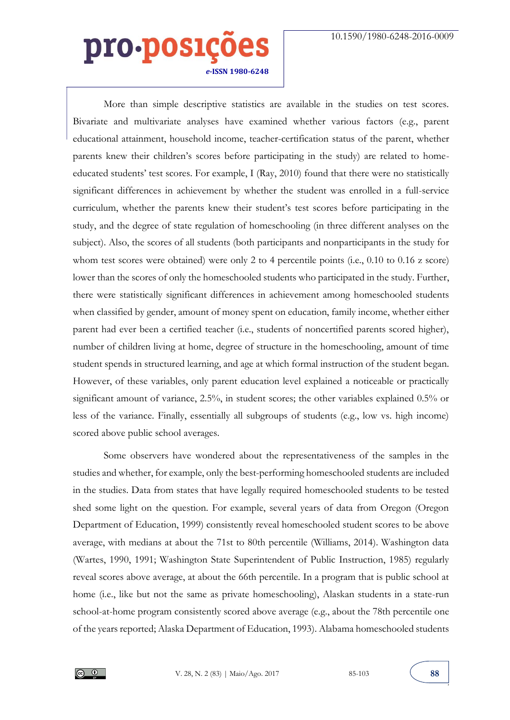More than simple descriptive statistics are available in the studies on test scores. Bivariate and multivariate analyses have examined whether various factors (e.g., parent educational attainment, household income, teacher-certification status of the parent, whether parents knew their children's scores before participating in the study) are related to homeeducated students' test scores. For example, I (Ray, 2010) found that there were no statistically significant differences in achievement by whether the student was enrolled in a full-service curriculum, whether the parents knew their student's test scores before participating in the study, and the degree of state regulation of homeschooling (in three different analyses on the subject). Also, the scores of all students (both participants and nonparticipants in the study for whom test scores were obtained) were only 2 to 4 percentile points (i.e., 0.10 to 0.16 z score) lower than the scores of only the homeschooled students who participated in the study. Further, there were statistically significant differences in achievement among homeschooled students when classified by gender, amount of money spent on education, family income, whether either parent had ever been a certified teacher (i.e., students of noncertified parents scored higher), number of children living at home, degree of structure in the homeschooling, amount of time student spends in structured learning, and age at which formal instruction of the student began. However, of these variables, only parent education level explained a noticeable or practically significant amount of variance, 2.5%, in student scores; the other variables explained 0.5% or less of the variance. Finally, essentially all subgroups of students (e.g., low vs. high income) scored above public school averages.

Some observers have wondered about the representativeness of the samples in the studies and whether, for example, only the best-performing homeschooled students are included in the studies. Data from states that have legally required homeschooled students to be tested shed some light on the question. For example, several years of data from Oregon (Oregon Department of Education, 1999) consistently reveal homeschooled student scores to be above average, with medians at about the 71st to 80th percentile (Williams, 2014). Washington data (Wartes, 1990, 1991; Washington State Superintendent of Public Instruction, 1985) regularly reveal scores above average, at about the 66th percentile. In a program that is public school at home (i.e., like but not the same as private homeschooling), Alaskan students in a state-run school-at-home program consistently scored above average (e.g., about the 78th percentile one of the years reported; Alaska Department of Education, 1993). Alabama homeschooled students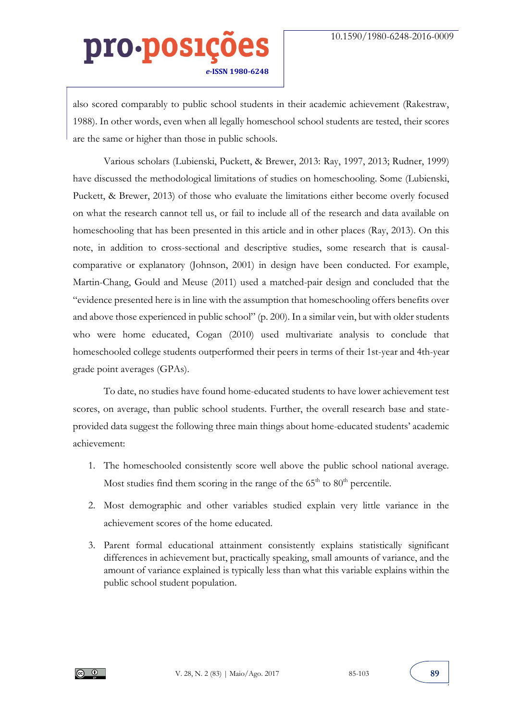also scored comparably to public school students in their academic achievement (Rakestraw, 1988). In other words, even when all legally homeschool school students are tested, their scores are the same or higher than those in public schools.

Various scholars (Lubienski, Puckett, & Brewer, 2013: Ray, 1997, 2013; Rudner, 1999) have discussed the methodological limitations of studies on homeschooling. Some (Lubienski, Puckett, & Brewer, 2013) of those who evaluate the limitations either become overly focused on what the research cannot tell us, or fail to include all of the research and data available on homeschooling that has been presented in this article and in other places (Ray, 2013). On this note, in addition to cross-sectional and descriptive studies, some research that is causalcomparative or explanatory (Johnson, 2001) in design have been conducted. For example, Martin-Chang, Gould and Meuse (2011) used a matched-pair design and concluded that the "evidence presented here is in line with the assumption that homeschooling offers benefits over and above those experienced in public school" (p. 200). In a similar vein, but with older students who were home educated, Cogan (2010) used multivariate analysis to conclude that homeschooled college students outperformed their peers in terms of their 1st-year and 4th-year grade point averages (GPAs).

To date, no studies have found home-educated students to have lower achievement test scores, on average, than public school students. Further, the overall research base and stateprovided data suggest the following three main things about home-educated students' academic achievement:

- 1. The homeschooled consistently score well above the public school national average. Most studies find them scoring in the range of the  $65<sup>th</sup>$  to  $80<sup>th</sup>$  percentile.
- 2. Most demographic and other variables studied explain very little variance in the achievement scores of the home educated.
- 3. Parent formal educational attainment consistently explains statistically significant differences in achievement but, practically speaking, small amounts of variance, and the amount of variance explained is typically less than what this variable explains within the public school student population.

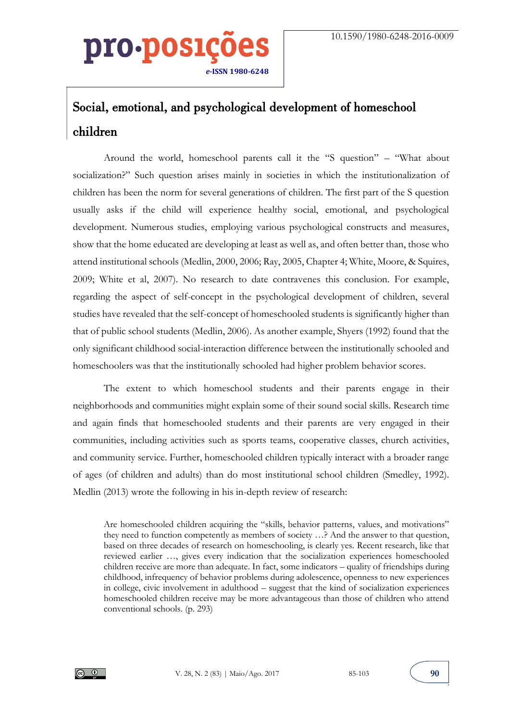#### Social, emotional, and psychological development of homeschool children

Around the world, homeschool parents call it the "S question" – "What about socialization?" Such question arises mainly in societies in which the institutionalization of children has been the norm for several generations of children. The first part of the S question usually asks if the child will experience healthy social, emotional, and psychological development. Numerous studies, employing various psychological constructs and measures, show that the home educated are developing at least as well as, and often better than, those who attend institutional schools (Medlin, 2000, 2006; Ray, 2005, Chapter 4; White, Moore, & Squires, 2009; White et al, 2007). No research to date contravenes this conclusion. For example, regarding the aspect of self-concept in the psychological development of children, several studies have revealed that the self-concept of homeschooled students is significantly higher than that of public school students (Medlin, 2006). As another example, Shyers (1992) found that the only significant childhood social-interaction difference between the institutionally schooled and homeschoolers was that the institutionally schooled had higher problem behavior scores.

The extent to which homeschool students and their parents engage in their neighborhoods and communities might explain some of their sound social skills. Research time and again finds that homeschooled students and their parents are very engaged in their communities, including activities such as sports teams, cooperative classes, church activities, and community service. Further, homeschooled children typically interact with a broader range of ages (of children and adults) than do most institutional school children (Smedley, 1992). Medlin (2013) wrote the following in his in-depth review of research:

Are homeschooled children acquiring the "skills, behavior patterns, values, and motivations" they need to function competently as members of society …? And the answer to that question, based on three decades of research on homeschooling, is clearly yes. Recent research, like that reviewed earlier …, gives every indication that the socialization experiences homeschooled children receive are more than adequate. In fact, some indicators – quality of friendships during childhood, infrequency of behavior problems during adolescence, openness to new experiences in college, civic involvement in adulthood – suggest that the kind of socialization experiences homeschooled children receive may be more advantageous than those of children who attend conventional schools. (p. 293)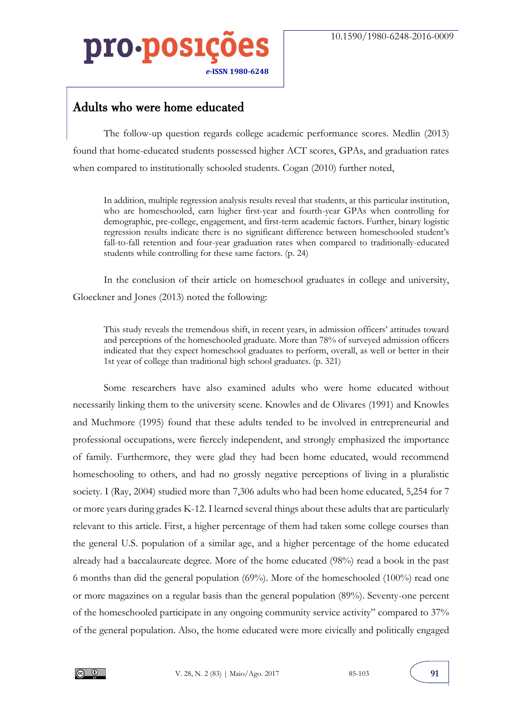#### Adults who were home educated

The follow-up question regards college academic performance scores. Medlin (2013) found that home-educated students possessed higher ACT scores, GPAs, and graduation rates when compared to institutionally schooled students. Cogan (2010) further noted,

In addition, multiple regression analysis results reveal that students, at this particular institution, who are homeschooled, earn higher first-year and fourth-year GPAs when controlling for demographic, pre-college, engagement, and first-term academic factors. Further, binary logistic regression results indicate there is no significant difference between homeschooled student's fall-to-fall retention and four-year graduation rates when compared to traditionally-educated students while controlling for these same factors. (p. 24)

In the conclusion of their article on homeschool graduates in college and university, Gloeckner and Jones (2013) noted the following:

This study reveals the tremendous shift, in recent years, in admission officers' attitudes toward and perceptions of the homeschooled graduate. More than 78% of surveyed admission officers indicated that they expect homeschool graduates to perform, overall, as well or better in their 1st year of college than traditional high school graduates. (p. 321)

Some researchers have also examined adults who were home educated without necessarily linking them to the university scene. Knowles and de Olivares (1991) and Knowles and Muchmore (1995) found that these adults tended to be involved in entrepreneurial and professional occupations, were fiercely independent, and strongly emphasized the importance of family. Furthermore, they were glad they had been home educated, would recommend homeschooling to others, and had no grossly negative perceptions of living in a pluralistic society. I (Ray, 2004) studied more than 7,306 adults who had been home educated, 5,254 for 7 or more years during grades K-12. I learned several things about these adults that are particularly relevant to this article. First, a higher percentage of them had taken some college courses than the general U.S. population of a similar age, and a higher percentage of the home educated already had a baccalaureate degree. More of the home educated (98%) read a book in the past 6 months than did the general population (69%). More of the homeschooled (100%) read one or more magazines on a regular basis than the general population (89%). Seventy-one percent of the homeschooled participate in any ongoing community service activity" compared to 37% of the general population. Also, the home educated were more civically and politically engaged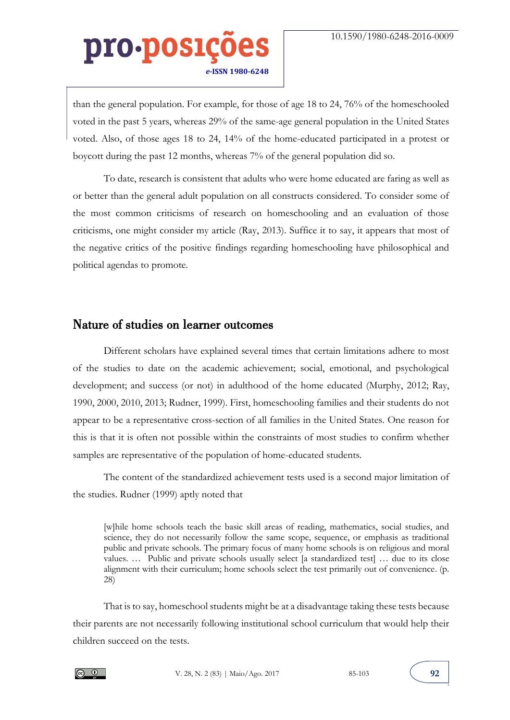than the general population. For example, for those of age 18 to 24, 76% of the homeschooled voted in the past 5 years, whereas 29% of the same-age general population in the United States voted. Also, of those ages 18 to 24, 14% of the home-educated participated in a protest or boycott during the past 12 months, whereas 7% of the general population did so.

To date, research is consistent that adults who were home educated are faring as well as or better than the general adult population on all constructs considered. To consider some of the most common criticisms of research on homeschooling and an evaluation of those criticisms, one might consider my article (Ray, 2013). Suffice it to say, it appears that most of the negative critics of the positive findings regarding homeschooling have philosophical and political agendas to promote.

#### Nature of studies on learner outcomes

Different scholars have explained several times that certain limitations adhere to most of the studies to date on the academic achievement; social, emotional, and psychological development; and success (or not) in adulthood of the home educated (Murphy, 2012; Ray, 1990, 2000, 2010, 2013; Rudner, 1999). First, homeschooling families and their students do not appear to be a representative cross-section of all families in the United States. One reason for this is that it is often not possible within the constraints of most studies to confirm whether samples are representative of the population of home-educated students.

The content of the standardized achievement tests used is a second major limitation of the studies. Rudner (1999) aptly noted that

[w]hile home schools teach the basic skill areas of reading, mathematics, social studies, and science, they do not necessarily follow the same scope, sequence, or emphasis as traditional public and private schools. The primary focus of many home schools is on religious and moral values. … Public and private schools usually select [a standardized test] … due to its close alignment with their curriculum; home schools select the test primarily out of convenience. (p. 28)

That is to say, homeschool students might be at a disadvantage taking these tests because their parents are not necessarily following institutional school curriculum that would help their children succeed on the tests.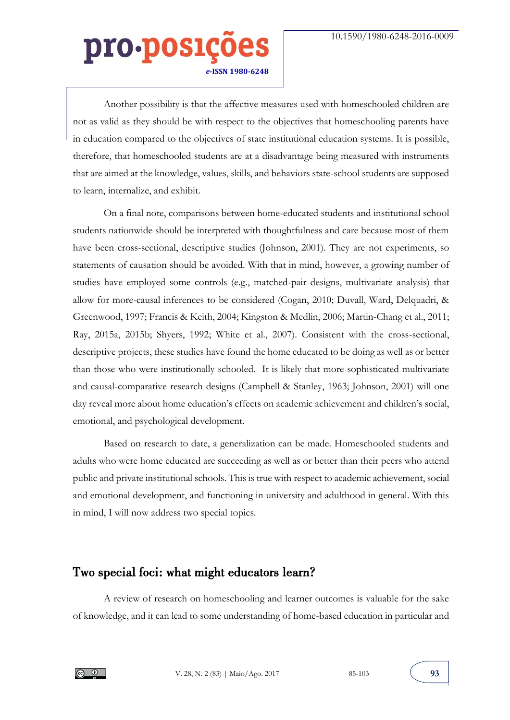Another possibility is that the affective measures used with homeschooled children are not as valid as they should be with respect to the objectives that homeschooling parents have in education compared to the objectives of state institutional education systems. It is possible, therefore, that homeschooled students are at a disadvantage being measured with instruments that are aimed at the knowledge, values, skills, and behaviors state-school students are supposed to learn, internalize, and exhibit.

On a final note, comparisons between home-educated students and institutional school students nationwide should be interpreted with thoughtfulness and care because most of them have been cross-sectional, descriptive studies (Johnson, 2001). They are not experiments, so statements of causation should be avoided. With that in mind, however, a growing number of studies have employed some controls (e.g., matched-pair designs, multivariate analysis) that allow for more-causal inferences to be considered (Cogan, 2010; Duvall, Ward, Delquadri, & Greenwood, 1997; Francis & Keith, 2004; Kingston & Medlin, 2006; Martin-Chang et al., 2011; Ray, 2015a, 2015b; Shyers, 1992; White et al., 2007). Consistent with the cross-sectional, descriptive projects, these studies have found the home educated to be doing as well as or better than those who were institutionally schooled. It is likely that more sophisticated multivariate and causal-comparative research designs (Campbell & Stanley, 1963; Johnson, 2001) will one day reveal more about home education's effects on academic achievement and children's social, emotional, and psychological development.

Based on research to date, a generalization can be made. Homeschooled students and adults who were home educated are succeeding as well as or better than their peers who attend public and private institutional schools. This is true with respect to academic achievement, social and emotional development, and functioning in university and adulthood in general. With this in mind, I will now address two special topics.

#### Two special foci: what might educators learn?

A review of research on homeschooling and learner outcomes is valuable for the sake of knowledge, and it can lead to some understanding of home-based education in particular and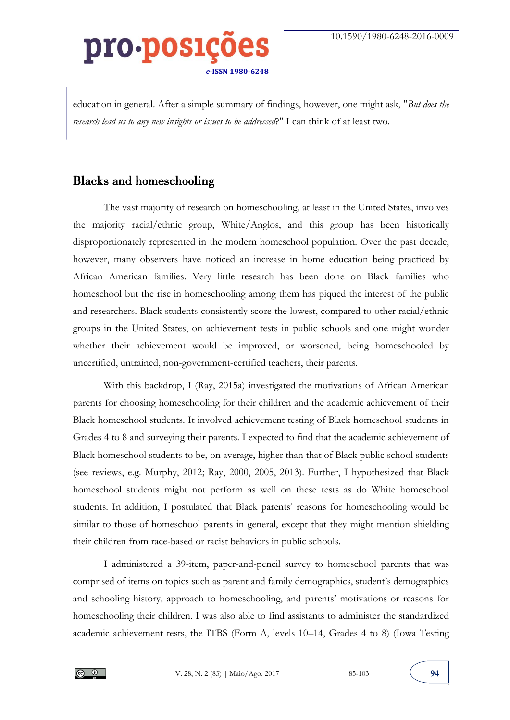education in general. After a simple summary of findings, however, one might ask, "*But does the research lead us to any new insights or issues to be addressed*?" I can think of at least two.

#### Blacks and homeschooling

The vast majority of research on homeschooling, at least in the United States, involves the majority racial/ethnic group, White/Anglos, and this group has been historically disproportionately represented in the modern homeschool population. Over the past decade, however, many observers have noticed an increase in home education being practiced by African American families. Very little research has been done on Black families who homeschool but the rise in homeschooling among them has piqued the interest of the public and researchers. Black students consistently score the lowest, compared to other racial/ethnic groups in the United States, on achievement tests in public schools and one might wonder whether their achievement would be improved, or worsened, being homeschooled by uncertified, untrained, non-government-certified teachers, their parents.

With this backdrop, I (Ray, 2015a) investigated the motivations of African American parents for choosing homeschooling for their children and the academic achievement of their Black homeschool students. It involved achievement testing of Black homeschool students in Grades 4 to 8 and surveying their parents. I expected to find that the academic achievement of Black homeschool students to be, on average, higher than that of Black public school students (see reviews, e.g. Murphy, 2012; Ray, 2000, 2005, 2013). Further, I hypothesized that Black homeschool students might not perform as well on these tests as do White homeschool students. In addition, I postulated that Black parents' reasons for homeschooling would be similar to those of homeschool parents in general, except that they might mention shielding their children from race-based or racist behaviors in public schools.

I administered a 39-item, paper-and-pencil survey to homeschool parents that was comprised of items on topics such as parent and family demographics, student's demographics and schooling history, approach to homeschooling, and parents' motivations or reasons for homeschooling their children. I was also able to find assistants to administer the standardized academic achievement tests, the ITBS (Form A, levels 10–14, Grades 4 to 8) (Iowa Testing

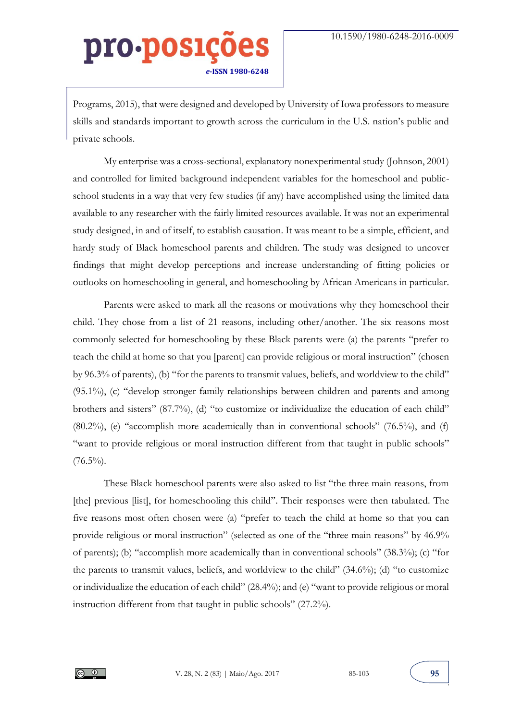Programs, 2015), that were designed and developed by University of Iowa professors to measure skills and standards important to growth across the curriculum in the U.S. nation's public and private schools.

My enterprise was a cross-sectional, explanatory nonexperimental study (Johnson, 2001) and controlled for limited background independent variables for the homeschool and publicschool students in a way that very few studies (if any) have accomplished using the limited data available to any researcher with the fairly limited resources available. It was not an experimental study designed, in and of itself, to establish causation. It was meant to be a simple, efficient, and hardy study of Black homeschool parents and children. The study was designed to uncover findings that might develop perceptions and increase understanding of fitting policies or outlooks on homeschooling in general, and homeschooling by African Americans in particular.

Parents were asked to mark all the reasons or motivations why they homeschool their child. They chose from a list of 21 reasons, including other/another. The six reasons most commonly selected for homeschooling by these Black parents were (a) the parents "prefer to teach the child at home so that you [parent] can provide religious or moral instruction" (chosen by 96.3% of parents), (b) "for the parents to transmit values, beliefs, and worldview to the child" (95.1%), (c) "develop stronger family relationships between children and parents and among brothers and sisters" (87.7%), (d) "to customize or individualize the education of each child"  $(80.2\%)$ , (e) "accomplish more academically than in conventional schools" (76.5%), and (f) "want to provide religious or moral instruction different from that taught in public schools"  $(76.5\%)$ .

These Black homeschool parents were also asked to list "the three main reasons, from [the] previous [list], for homeschooling this child". Their responses were then tabulated. The five reasons most often chosen were (a) "prefer to teach the child at home so that you can provide religious or moral instruction" (selected as one of the "three main reasons" by 46.9% of parents); (b) "accomplish more academically than in conventional schools" (38.3%); (c) "for the parents to transmit values, beliefs, and worldview to the child" (34.6%); (d) "to customize or individualize the education of each child" (28.4%); and (e) "want to provide religious or moral instruction different from that taught in public schools" (27.2%).

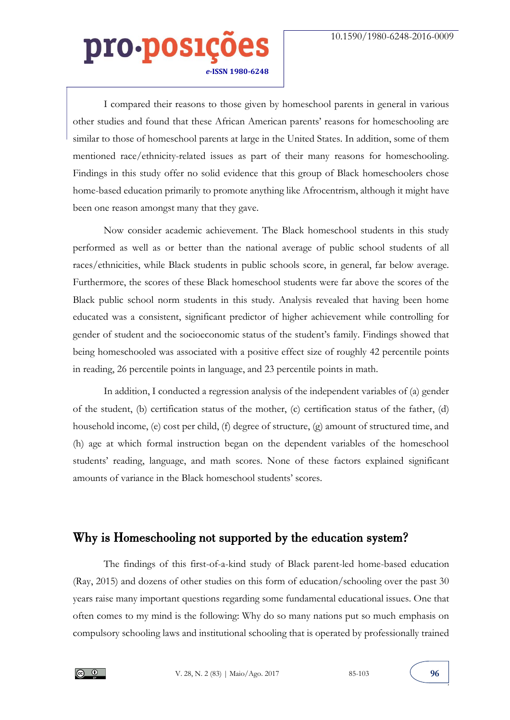I compared their reasons to those given by homeschool parents in general in various other studies and found that these African American parents' reasons for homeschooling are similar to those of homeschool parents at large in the United States. In addition, some of them mentioned race/ethnicity-related issues as part of their many reasons for homeschooling. Findings in this study offer no solid evidence that this group of Black homeschoolers chose home-based education primarily to promote anything like Afrocentrism, although it might have been one reason amongst many that they gave.

Now consider academic achievement. The Black homeschool students in this study performed as well as or better than the national average of public school students of all races/ethnicities, while Black students in public schools score, in general, far below average. Furthermore, the scores of these Black homeschool students were far above the scores of the Black public school norm students in this study. Analysis revealed that having been home educated was a consistent, significant predictor of higher achievement while controlling for gender of student and the socioeconomic status of the student's family. Findings showed that being homeschooled was associated with a positive effect size of roughly 42 percentile points in reading, 26 percentile points in language, and 23 percentile points in math.

In addition, I conducted a regression analysis of the independent variables of (a) gender of the student, (b) certification status of the mother, (c) certification status of the father, (d) household income, (e) cost per child, (f) degree of structure, (g) amount of structured time, and (h) age at which formal instruction began on the dependent variables of the homeschool students' reading, language, and math scores. None of these factors explained significant amounts of variance in the Black homeschool students' scores.

#### Why is Homeschooling not supported by the education system?

The findings of this first-of-a-kind study of Black parent-led home-based education (Ray, 2015) and dozens of other studies on this form of education/schooling over the past 30 years raise many important questions regarding some fundamental educational issues. One that often comes to my mind is the following: Why do so many nations put so much emphasis on compulsory schooling laws and institutional schooling that is operated by professionally trained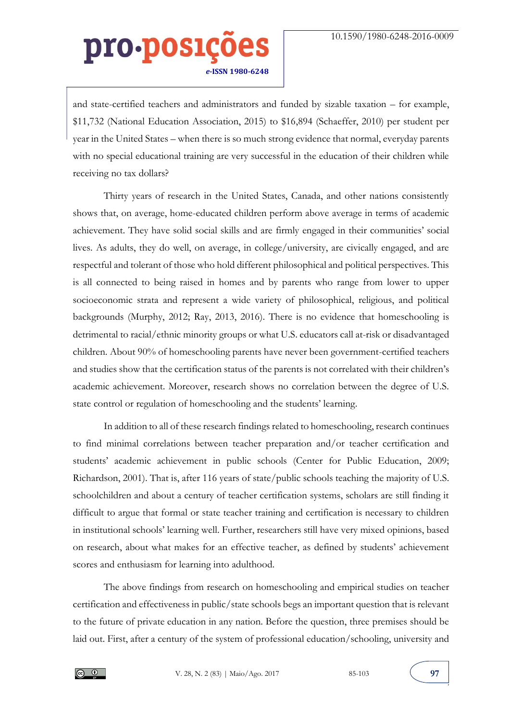and state-certified teachers and administrators and funded by sizable taxation – for example, \$11,732 (National Education Association, 2015) to \$16,894 (Schaeffer, 2010) per student per year in the United States – when there is so much strong evidence that normal, everyday parents with no special educational training are very successful in the education of their children while receiving no tax dollars?

Thirty years of research in the United States, Canada, and other nations consistently shows that, on average, home-educated children perform above average in terms of academic achievement. They have solid social skills and are firmly engaged in their communities' social lives. As adults, they do well, on average, in college/university, are civically engaged, and are respectful and tolerant of those who hold different philosophical and political perspectives. This is all connected to being raised in homes and by parents who range from lower to upper socioeconomic strata and represent a wide variety of philosophical, religious, and political backgrounds (Murphy, 2012; Ray, 2013, 2016). There is no evidence that homeschooling is detrimental to racial/ethnic minority groups or what U.S. educators call at-risk or disadvantaged children. About 90% of homeschooling parents have never been government-certified teachers and studies show that the certification status of the parents is not correlated with their children's academic achievement. Moreover, research shows no correlation between the degree of U.S. state control or regulation of homeschooling and the students' learning.

In addition to all of these research findings related to homeschooling, research continues to find minimal correlations between teacher preparation and/or teacher certification and students' academic achievement in public schools (Center for Public Education, 2009; Richardson, 2001). That is, after 116 years of state/public schools teaching the majority of U.S. schoolchildren and about a century of teacher certification systems, scholars are still finding it difficult to argue that formal or state teacher training and certification is necessary to children in institutional schools' learning well. Further, researchers still have very mixed opinions, based on research, about what makes for an effective teacher, as defined by students' achievement scores and enthusiasm for learning into adulthood.

The above findings from research on homeschooling and empirical studies on teacher certification and effectiveness in public/state schools begs an important question that is relevant to the future of private education in any nation. Before the question, three premises should be laid out. First, after a century of the system of professional education/schooling, university and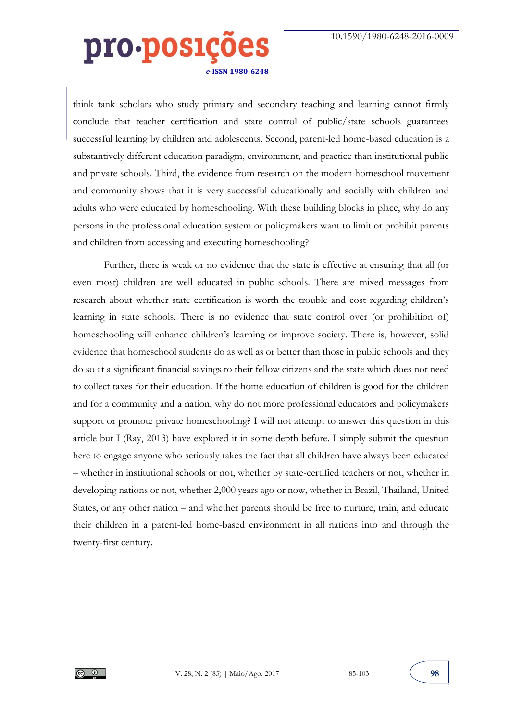think tank scholars who study primary and secondary teaching and learning cannot firmly conclude that teacher certification and state control of public/state schools guarantees successful learning by children and adolescents. Second, parent-led home-based education is a substantively different education paradigm, environment, and practice than institutional public and private schools. Third, the evidence from research on the modern homeschool movement and community shows that it is very successful educationally and socially with children and adults who were educated by homeschooling. With these building blocks in place, why do any persons in the professional education system or policymakers want to limit or prohibit parents and children from accessing and executing homeschooling?

Further, there is weak or no evidence that the state is effective at ensuring that all (or even most) children are well educated in public schools. There are mixed messages from research about whether state certification is worth the trouble and cost regarding children's learning in state schools. There is no evidence that state control over (or prohibition of) homeschooling will enhance children's learning or improve society. There is, however, solid evidence that homeschool students do as well as or better than those in public schools and they do so at a significant financial savings to their fellow citizens and the state which does not need to collect taxes for their education. If the home education of children is good for the children and for a community and a nation, why do not more professional educators and policymakers support or promote private homeschooling? I will not attempt to answer this question in this article but I (Ray, 2013) have explored it in some depth before. I simply submit the question here to engage anyone who seriously takes the fact that all children have always been educated – whether in institutional schools or not, whether by state-certified teachers or not, whether in developing nations or not, whether 2,000 years ago or now, whether in Brazil, Thailand, United States, or any other nation – and whether parents should be free to nurture, train, and educate their children in a parent-led home-based environment in all nations into and through the twenty-first century.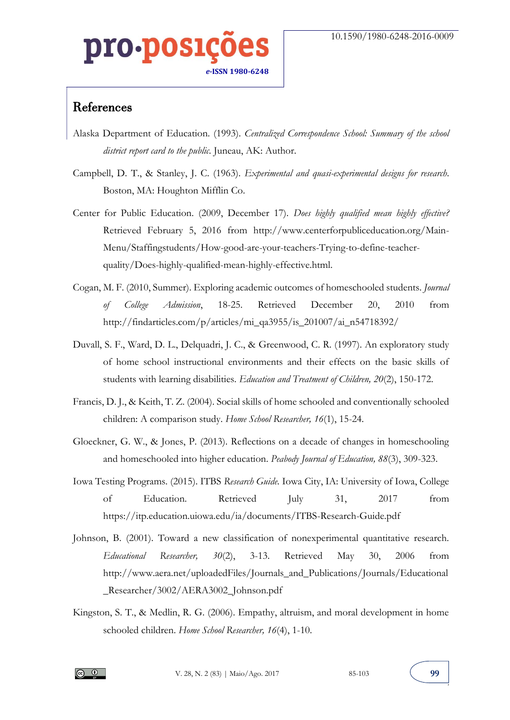#### References

- Alaska Department of Education. (1993). *Centralized Correspondence School: Summary of the school district report card to the public*. Juneau, AK: Author.
- Campbell, D. T., & Stanley, J. C. (1963). *Experimental and quasi-experimental designs for research*. Boston, MA: Houghton Mifflin Co.
- Center for Public Education. (2009, December 17). *Does highly qualified mean highly effective?* Retrieved February 5, 2016 from http://www.centerforpubliceducation.org/Main-Menu/Staffingstudents/How-good-are-your-teachers-Trying-to-define-teacherquality/Does-highly-qualified-mean-highly-effective.html.
- Cogan, M. F. (2010, Summer). Exploring academic outcomes of homeschooled students. *Journal of College Admission*, 18-25. Retrieved December 20, 2010 from http://findarticles.com/p/articles/mi\_qa3955/is\_201007/ai\_n54718392/
- Duvall, S. F., Ward, D. L., Delquadri, J. C., & Greenwood, C. R. (1997). An exploratory study of home school instructional environments and their effects on the basic skills of students with learning disabilities. *Education and Treatment of Children, 20*(2), 150-172.
- Francis, D. J., & Keith, T. Z. (2004). Social skills of home schooled and conventionally schooled children: A comparison study. *Home School Researcher, 16*(1), 15-24.
- Gloeckner, G. W., & Jones, P. (2013). Reflections on a decade of changes in homeschooling and homeschooled into higher education. *Peabody Journal of Education, 88*(3), 309-323.
- Iowa Testing Programs. (2015). ITBS *Research Guide.* Iowa City, IA: University of Iowa, College of Education. Retrieved July 31, 2017 from https://itp.education.uiowa.edu/ia/documents/ITBS-Research-Guide.pdf
- Johnson, B. (2001). Toward a new classification of nonexperimental quantitative research. *Educational Researcher, 30*(2), 3-13. Retrieved May 30, 2006 from http://www.aera.net/uploadedFiles/Journals\_and\_Publications/Journals/Educational \_Researcher/3002/AERA3002\_Johnson.pdf
- Kingston, S. T., & Medlin, R. G. (2006). Empathy, altruism, and moral development in home schooled children. *Home School Researcher, 16*(4), 1-10.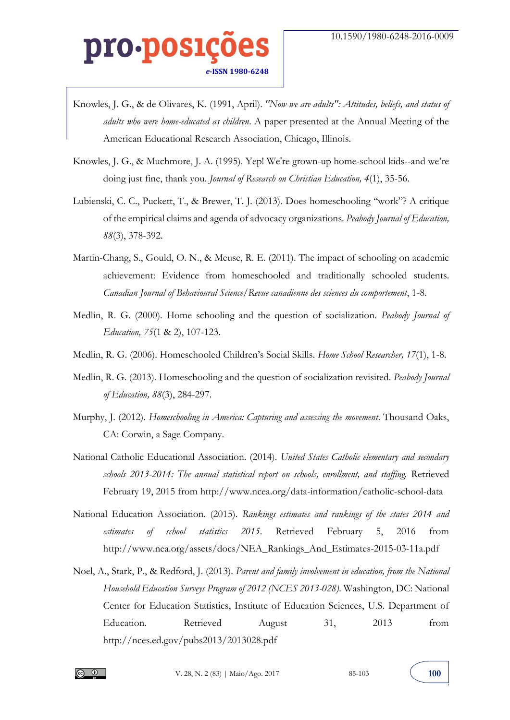- Knowles, J. G., & de Olivares, K. (1991, April). *"Now we are adults": Attitudes, beliefs, and status of adults who were home-educated as children*. A paper presented at the Annual Meeting of the American Educational Research Association, Chicago, Illinois.
- Knowles, J. G., & Muchmore, J. A. (1995). Yep! We're grown-up home-school kids--and we're doing just fine, thank you. *Journal of Research on Christian Education, 4*(1), 35-56.
- Lubienski, C. C., Puckett, T., & Brewer, T. J. (2013). Does homeschooling "work"? A critique of the empirical claims and agenda of advocacy organizations. *Peabody Journal of Education, 88*(3), 378-392.
- Martin-Chang, S., Gould, O. N., & Meuse, R. E. (2011). The impact of schooling on academic achievement: Evidence from homeschooled and traditionally schooled students. *Canadian Journal of Behavioural Science/Revue canadienne des sciences du comportement*, 1-8.
- Medlin, R. G. (2000). Home schooling and the question of socialization. *Peabody Journal of Education, 75*(1 & 2), 107-123.
- Medlin, R. G. (2006). Homeschooled Children's Social Skills. *Home School Researcher, 17*(1), 1-8.
- Medlin, R. G. (2013). Homeschooling and the question of socialization revisited. *Peabody Journal of Education, 88*(3), 284-297.
- Murphy, J. (2012). *Homeschooling in America: Capturing and assessing the movement*. Thousand Oaks, CA: Corwin, a Sage Company.
- National Catholic Educational Association. (2014). *United States Catholic elementary and secondary schools 2013-2014: The annual statistical report on schools, enrollment, and staffing.* Retrieved February 19, 2015 from http://www.ncea.org/data-information/catholic-school-data
- National Education Association. (2015). *Rankings estimates and rankings of the states 2014 and estimates of school statistics 2015*. Retrieved February 5, 2016 from http://www.nea.org/assets/docs/NEA\_Rankings\_And\_Estimates-2015-03-11a.pdf
- Noel, A., Stark, P., & Redford, J. (2013). *Parent and family involvement in education, from the National Household Education Surveys Program of 2012 (NCES 2013-028)*. Washington, DC: National Center for Education Statistics, Institute of Education Sciences, U.S. Department of Education. Retrieved August 31, 2013 from http://nces.ed.gov/pubs2013/2013028.pdf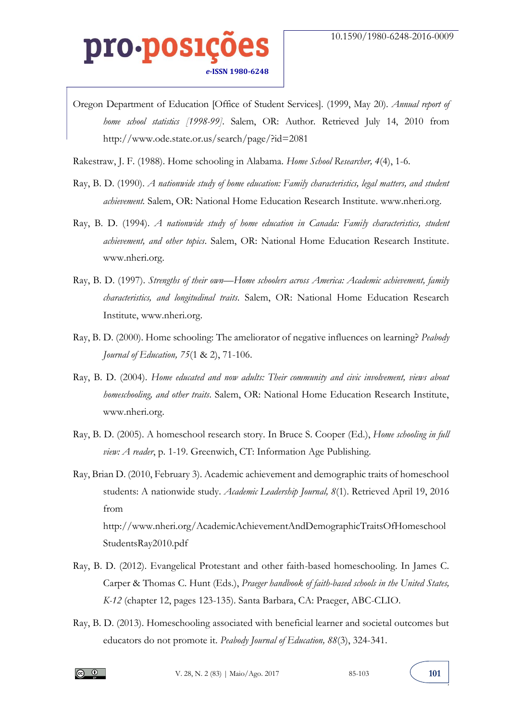Oregon Department of Education [Office of Student Services]. (1999, May 20). *Annual report of home school statistics [1998-99]*. Salem, OR: Author. Retrieved July 14, 2010 from http://www.ode.state.or.us/search/page/?id=2081

Rakestraw, J. F. (1988). Home schooling in Alabama. *Home School Researcher, 4*(4), 1-6.

- Ray, B. D. (1990). *A nationwide study of home education: Family characteristics, legal matters, and student achievement.* Salem, OR: National Home Education Research Institute. www.nheri.org.
- Ray, B. D. (1994). *A nationwide study of home education in Canada: Family characteristics, student achievement, and other topics*. Salem, OR: National Home Education Research Institute. www.nheri.org.
- Ray, B. D. (1997). *Strengths of their own—Home schoolers across America: Academic achievement, family characteristics, and longitudinal traits*. Salem, OR: National Home Education Research Institute, www.nheri.org.
- Ray, B. D. (2000). Home schooling: The ameliorator of negative influences on learning? *Peabody Journal of Education, 75*(1 & 2), 71-106.
- Ray, B. D. (2004). *Home educated and now adults: Their community and civic involvement, views about homeschooling, and other traits*. Salem, OR: National Home Education Research Institute, www.nheri.org.
- Ray, B. D. (2005). A homeschool research story. In Bruce S. Cooper (Ed.), *Home schooling in full view: A reader*, p. 1-19. Greenwich, CT: Information Age Publishing.
- Ray, Brian D. (2010, February 3). Academic achievement and demographic traits of homeschool students: A nationwide study. *Academic Leadership Journal, 8*(1). Retrieved April 19, 2016 from

http://www.nheri.org/AcademicAchievementAndDemographicTraitsOfHomeschool StudentsRay2010.pdf

- Ray, B. D. (2012). Evangelical Protestant and other faith-based homeschooling. In James C. Carper & Thomas C. Hunt (Eds.), *Praeger handbook of faith-based schools in the United States, K-12* (chapter 12, pages 123-135). Santa Barbara, CA: Praeger, ABC-CLIO.
- Ray, B. D. (2013). Homeschooling associated with beneficial learner and societal outcomes but educators do not promote it. *Peabody Journal of Education, 88*(3), 324-341.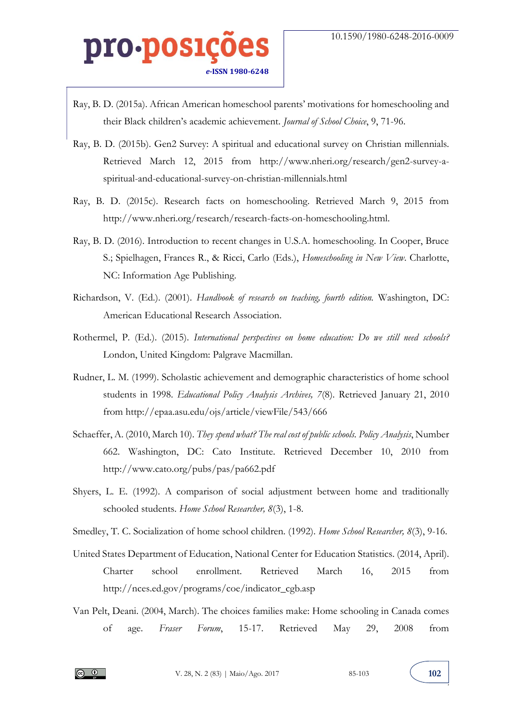- Ray, B. D. (2015a). African American homeschool parents' motivations for homeschooling and their Black children's academic achievement. *Journal of School Choice*, 9, 71-96.
- Ray, B. D. (2015b). Gen2 Survey: A spiritual and educational survey on Christian millennials. Retrieved March 12, 2015 from http://www.nheri.org/research/gen2-survey-aspiritual-and-educational-survey-on-christian-millennials.html
- Ray, B. D. (2015c). Research facts on homeschooling. Retrieved March 9, 2015 from http://www.nheri.org/research/research-facts-on-homeschooling.html.
- Ray, B. D. (2016). Introduction to recent changes in U.S.A. homeschooling. In Cooper, Bruce S.; Spielhagen, Frances R., & Ricci, Carlo (Eds.), *Homeschooling in New View*. Charlotte, NC: Information Age Publishing.
- Richardson, V. (Ed.). (2001). *Handbook of research on teaching, fourth edition.* Washington, DC: American Educational Research Association.
- Rothermel, P. (Ed.). (2015). *International perspectives on home education: Do we still need schools?* London, United Kingdom: Palgrave Macmillan.
- Rudner, L. M. (1999). Scholastic achievement and demographic characteristics of home school students in 1998. *Educational Policy Analysis Archives, 7*(8). Retrieved January 21, 2010 from http://epaa.asu.edu/ojs/article/viewFile/543/666
- Schaeffer, A. (2010, March 10). *They spend what? The real cost of public schools. Policy Analysis*, Number 662. Washington, DC: Cato Institute. Retrieved December 10, 2010 from http://www.cato.org/pubs/pas/pa662.pdf
- Shyers, L. E. (1992). A comparison of social adjustment between home and traditionally schooled students. *Home School Researcher, 8*(3), 1-8.
- Smedley, T. C. Socialization of home school children. (1992). *Home School Researcher, 8*(3), 9-16.
- United States Department of Education, National Center for Education Statistics. (2014, April). Charter school enrollment. Retrieved March 16, 2015 from http://nces.ed.gov/programs/coe/indicator\_cgb.asp
- Van Pelt, Deani. (2004, March). The choices families make: Home schooling in Canada comes of age. *Fraser Forum*, 15-17. Retrieved May 29, 2008 from